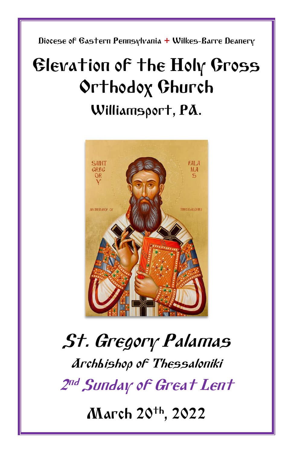Diocese of Eastern Pennsylvania **+** Wilkes-Barre Deanery

## Elevation of the Holy Cross Orthodox Church Williamsport, PA.



# St. Gregory Palamas Archbishop of Thessaloniki 2 nd Sunday of Great Lent

March 20th, 2022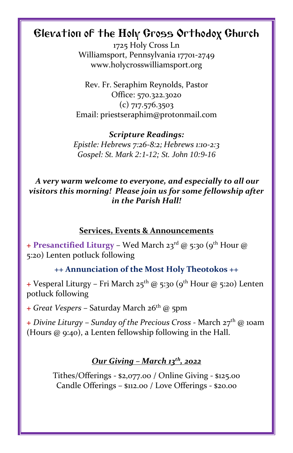### Elevation of the Holy Cross Orthodox Church

1725 Holy Cross Ln Williamsport, Pennsylvania 17701-2749 www.holycrosswilliamsport.org

Rev. Fr. Seraphim Reynolds, Pastor Office: 570.322.3020 (c) 717.576.3503 Email: priestseraphim@protonmail.com

*Scripture Readings: Epistle: Hebrews 7:26-8:2; Hebrews 1:10-2:3 Gospel: St. Mark 2:1-12; St. John 10:9-16*

*A very warm welcome to everyone, and especially to all our visitors this morning! Please join us for some fellowship after in the Parish Hall!*

#### **Services, Events & Announcements**

**+ Presanctified Liturgy** – Wed March 23rd @ 5:30 (9th Hour @ 5:20) Lenten potluck following

#### **++ Annunciation of the Most Holy Theotokos ++**

**+** Vesperal Liturgy – Fri March 25<sup>th</sup> @ 5:30 (9<sup>th</sup> Hour @ 5:20) Lenten potluck following

**+** *Great Vespers* – Saturday March 26th @ 5pm

**+** *Divine Liturgy* – *Sunday of the Precious Cross -* March 27 th @ 10am (Hours @ 9:40), a Lenten fellowship following in the Hall.

#### *Our Giving – March 13th, 2022*

Tithes/Offerings - \$2,077.00 / Online Giving - \$125.00 Candle Offerings – \$112.00 / Love Offerings - \$20.00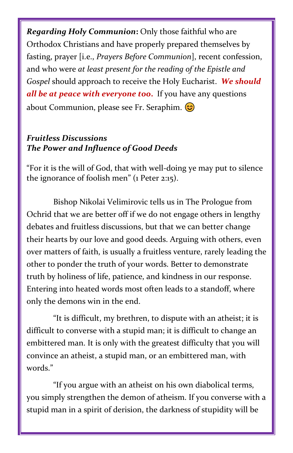*Regarding Holy Communion***:** Only those faithful who are Orthodox Christians and have properly prepared themselves by fasting, prayer [i.e., *Prayers Before Communion*], recent confession, and who were *at least present for the reading of the Epistle and Gospel* should approach to receive the Holy Eucharist. *We should all be at peace with everyone too***.** If you have any questions about Communion, please see Fr. Seraphim.  $\circled{c}$ 

#### *Fruitless Discussions The Power and Influence of Good Deeds*

"For it is the will of God, that with well-doing ye may put to silence the ignorance of foolish men" (1 Peter 2:15).

Bishop Nikolai Velimirovic tells us in The Prologue from Ochrid that we are better off if we do not engage others in lengthy debates and fruitless discussions, but that we can better change their hearts by our love and good deeds. Arguing with others, even over matters of faith, is usually a fruitless venture, rarely leading the other to ponder the truth of your words. Better to demonstrate truth by holiness of life, patience, and kindness in our response. Entering into heated words most often leads to a standoff, where only the demons win in the end.

"It is difficult, my brethren, to dispute with an atheist; it is difficult to converse with a stupid man; it is difficult to change an embittered man. It is only with the greatest difficulty that you will convince an atheist, a stupid man, or an embittered man, with words."

"If you argue with an atheist on his own diabolical terms, you simply strengthen the demon of atheism. If you converse with a stupid man in a spirit of derision, the darkness of stupidity will be